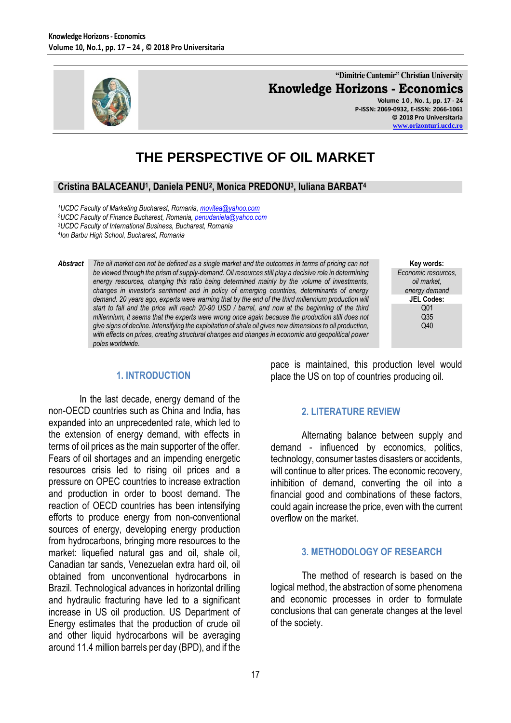

**"Dimitrie Cantemir" Christian University Knowledge Horizons - Economics Volume 1 0 , No. 1, pp. 17 - 24**

**P-ISSN: 2069-0932, E-ISSN: 2066-1061 © 2018 Pro Universitaria [www.orizonturi.ucdc.ro](http://www.orizonturi.ucdc.ro/)**

# **THE PERSPECTIVE OF OIL MARKET**

# **Cristina BALACEANU<sup>1</sup> , Daniela PENU<sup>2</sup> , Monica PREDONU<sup>3</sup> , Iuliana BARBAT<sup>4</sup>**

*UCDC Faculty of Marketing Bucharest, Romania, [movitea@yahoo.com](mailto:movitea@yahoo.com) UCDC Faculty of Finance Bucharest, Romania, [penudaniela@yahoo.com](mailto:penudaniela@yahoo.com) UCDC Faculty of International Business, Bucharest, Romania Ion Barbu High School, Bucharest, Romania*

- *Abstract The oil market can not be defined as a single market and the outcomes in terms of pricing can not be viewed through the prism of supply-demand. Oil resources still play a decisive role in determining energy resources, changing this ratio being determined mainly by the volume of investments, changes in investor's sentiment and in policy of emerging countries, determinants of energy demand.* 20 years ago, experts were warning that by the end of the third millennium production will *start to fall and the price will reach 20-90 USD / barrel, and now at the beginning of the third millennium, it seems that the experts were wrong once again because the production still does not give signs of decline. Intensifying the exploitation of shale oil gives new dimensions to oil production, with effects on prices, creating structural changes and changes in economic and geopolitical power poles worldwide.*
- **Key words:** *Economic resources, oil market, energy demand* **JEL Codes:** Q01 Q35 Q40

## **1. INTRODUCTION**

In the last decade, energy demand of the non-OECD countries such as China and India, has expanded into an unprecedented rate, which led to the extension of energy demand, with effects in terms of oil prices as the main supporter of the offer. Fears of oil shortages and an impending energetic resources crisis led to rising oil prices and a pressure on OPEC countries to increase extraction and production in order to boost demand. The reaction of OECD countries has been intensifying efforts to produce energy from non-conventional sources of energy, developing energy production from hydrocarbons, bringing more resources to the market: liquefied natural gas and oil, shale oil, Canadian tar sands, Venezuelan extra hard oil, oil obtained from unconventional hydrocarbons in Brazil. Technological advances in horizontal drilling and hydraulic fracturing have led to a significant increase in US oil production. US Department of Energy estimates that the production of crude oil and other liquid hydrocarbons will be averaging around 11.4 million barrels per day (BPD), and if the pace is maintained, this production level would place the US on top of countries producing oil.

### **2. LITERATURE REVIEW**

Alternating balance between supply and demand - influenced by economics, politics, technology, consumer tastes disasters or accidents, will continue to alter prices. The economic recovery, inhibition of demand, converting the oil into a financial good and combinations of these factors, could again increase the price, even with the current overflow on the market.

## **3. METHODOLOGY OF RESEARCH**

The method of research is based on the logical method, the abstraction of some phenomena and economic processes in order to formulate conclusions that can generate changes at the level of the society.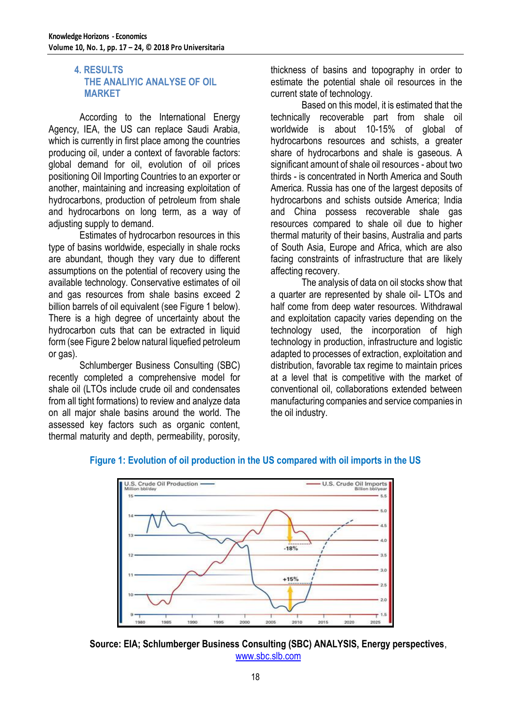# **4. RESULTS THE ANALIYIC ANALYSE OF OIL MARKET**

According to the International Energy Agency, IEA, the US can replace Saudi Arabia, which is currently in first place among the countries producing oil, under a context of favorable factors: global demand for oil, evolution of oil prices positioning Oil Importing Countries to an exporter or another, maintaining and increasing exploitation of hydrocarbons, production of petroleum from shale and hydrocarbons on long term, as a way of adjusting supply to demand.

Estimates of hydrocarbon resources in this type of basins worldwide, especially in shale rocks are abundant, though they vary due to different assumptions on the potential of recovery using the available technology. Conservative estimates of oil and gas resources from shale basins exceed 2 billion barrels of oil equivalent (see Figure 1 below). There is a high degree of uncertainty about the hydrocarbon cuts that can be extracted in liquid form (see Figure 2 below natural liquefied petroleum or gas).

Schlumberger Business Consulting (SBC) recently completed a comprehensive model for shale oil (LTOs include crude oil and condensates from all tight formations) to review and analyze data on all major shale basins around the world. The assessed key factors such as organic content, thermal maturity and depth, permeability, porosity,

thickness of basins and topography in order to estimate the potential shale oil resources in the current state of technology.

Based on this model, it is estimated that the technically recoverable part from shale oil worldwide is about 10-15% of global of hydrocarbons resources and schists, a greater share of hydrocarbons and shale is gaseous. A significant amount of shale oil resources - about two thirds - is concentrated in North America and South America. Russia has one of the largest deposits of hydrocarbons and schists outside America; India and China possess recoverable shale gas resources compared to shale oil due to higher thermal maturity of their basins, Australia and parts of South Asia, Europe and Africa, which are also facing constraints of infrastructure that are likely affecting recovery.

The analysis of data on oil stocks show that a quarter are represented by shale oil- LTOs and half come from deep water resources. Withdrawal and exploitation capacity varies depending on the technology used, the incorporation of high technology in production, infrastructure and logistic adapted to processes of extraction, exploitation and distribution, favorable tax regime to maintain prices at a level that is competitive with the market of conventional oil, collaborations extended between manufacturing companies and service companies in the oil industry.



# **Figure 1: Evolution of oil production in the US compared with oil imports in the US**

**Source: EIA; Schlumberger Business Consulting (SBC) ANALYSIS, Energy perspectives**, [www.sbc.slb.com](http://www.sbc.slb.com/)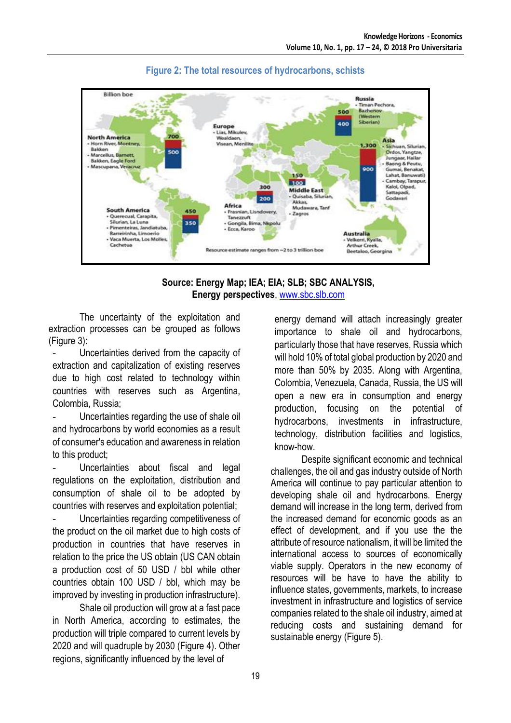

# **Figure 2: The total resources of hydrocarbons, schists**

### **Source: Energy Map; IEA; EIA; SLB; SBC ANALYSIS, Energy perspectives**, [www.sbc.slb.com](http://www.sbc.slb.com/)

The uncertainty of the exploitation and extraction processes can be grouped as follows (Figure 3):

Uncertainties derived from the capacity of extraction and capitalization of existing reserves due to high cost related to technology within countries with reserves such as Argentina, Colombia, Russia;

Uncertainties regarding the use of shale oil and hydrocarbons by world economies as a result of consumer's education and awareness in relation to this product;

Uncertainties about fiscal and legal regulations on the exploitation, distribution and consumption of shale oil to be adopted by countries with reserves and exploitation potential;

Uncertainties regarding competitiveness of the product on the oil market due to high costs of production in countries that have reserves in relation to the price the US obtain (US CAN obtain a production cost of 50 USD / bbl while other countries obtain 100 USD / bbl, which may be improved by investing in production infrastructure).

Shale oil production will grow at a fast pace in North America, according to estimates, the production will triple compared to current levels by 2020 and will quadruple by 2030 (Figure 4). Other regions, significantly influenced by the level of

energy demand will attach increasingly greater importance to shale oil and hydrocarbons, particularly those that have reserves, Russia which will hold 10% of total global production by 2020 and more than 50% by 2035. Along with Argentina, Colombia, Venezuela, Canada, Russia, the US will open a new era in consumption and energy production, focusing on the potential of hydrocarbons, investments in infrastructure, technology, distribution facilities and logistics, know-how.

Despite significant economic and technical challenges, the oil and gas industry outside of North America will continue to pay particular attention to developing shale oil and hydrocarbons. Energy demand will increase in the long term, derived from the increased demand for economic goods as an effect of development, and if you use the the attribute of resource nationalism, it will be limited the international access to sources of economically viable supply. Operators in the new economy of resources will be have to have the ability to influence states, governments, markets, to increase investment in infrastructure and logistics of service companies related to the shale oil industry, aimed at reducing costs and sustaining demand for sustainable energy (Figure 5).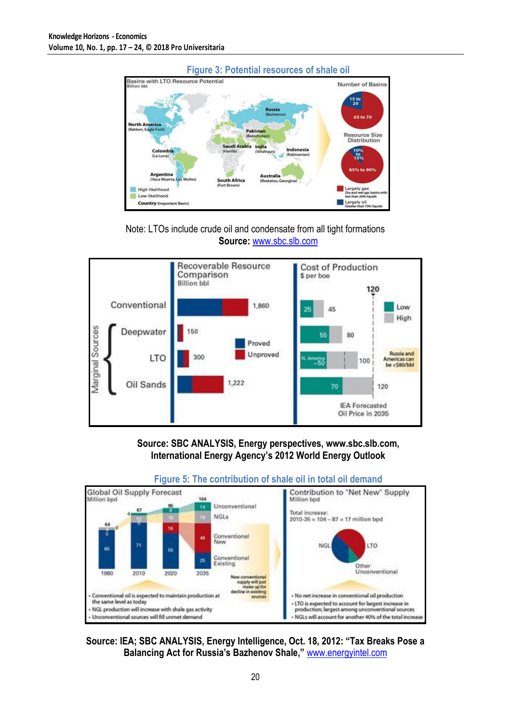





# **Source: SBC ANALYSIS, Energy perspectives, [www.sbc.slb.com,](http://www.sbc.slb.com/) International Energy Agency's 2012 World Energy Outlook**



# **Figure 5: The contribution of shale oil in total oil demand**

### **Source: IEA; SBC ANALYSIS, Energy Intelligence, Oct. 18, 2012: "Tax Breaks Pose a Balancing Act for Russia's Bazhenov Shale,"** [www.energyintel.com](http://www.energyintel.com/)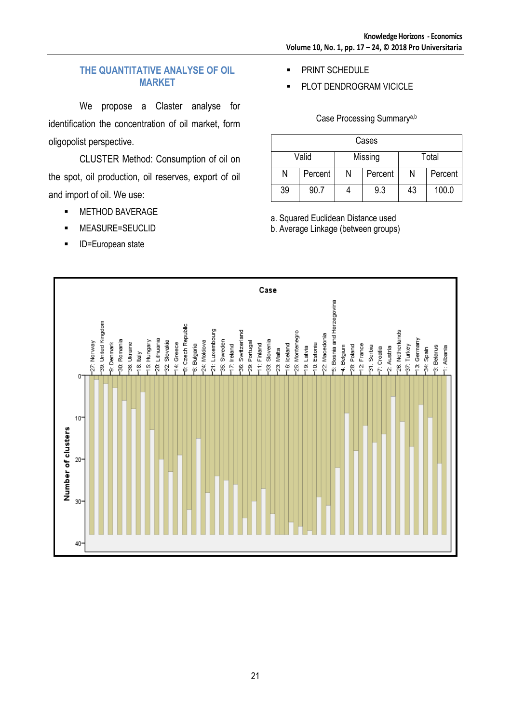### **THE QUANTITATIVE ANALYSE OF OIL MARKET**

We propose a Claster analyse for identification the concentration of oil market, form oligopolist perspective.

CLUSTER Method: Consumption of oil on the spot, oil production, oil reserves, export of oil and import of oil. We use:

- **NETHOD BAVERAGE**
- MEASURE=SEUCLID
- **ID=European state**
- PRINT SCHEDULE
- PLOT DENDROGRAM VICICLE

Case Processing Summarya,b

| Cases |         |         |         |       |         |  |
|-------|---------|---------|---------|-------|---------|--|
| Valid |         | Missing |         | Total |         |  |
| N     | Percent | Ν       | Percent | Ν     | Percent |  |
| 39    | 90.7    |         | 9.3     | 43    | 100.0   |  |

a. Squared Euclidean Distance used

b. Average Linkage (between groups)

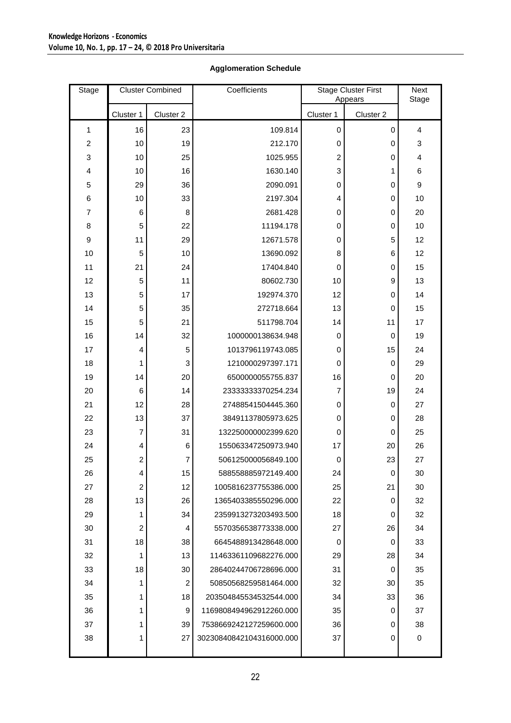### **Agglomeration Schedule**

| Stage                     | <b>Cluster Combined</b> |                | Coefficients             | <b>Stage Cluster First</b><br>Appears |             | <b>Next</b><br>Stage |
|---------------------------|-------------------------|----------------|--------------------------|---------------------------------------|-------------|----------------------|
|                           | Cluster 1               | Cluster 2      |                          | Cluster 1                             | Cluster 2   |                      |
| 1                         | 16                      | 23             | 109.814                  | 0                                     | $\mathbf 0$ | 4                    |
| $\overline{c}$            | 10                      | 19             | 212.170                  | $\boldsymbol{0}$                      | $\mathbf 0$ | 3                    |
| $\ensuremath{\mathsf{3}}$ | 10                      | 25             | 1025.955                 | $\overline{c}$                        | 0           | 4                    |
| 4                         | 10                      | 16             | 1630.140                 | 3                                     | 1           | 6                    |
| 5                         | 29                      | 36             | 2090.091                 | $\boldsymbol{0}$                      | $\mathbf 0$ | $\boldsymbol{9}$     |
| 6                         | 10                      | 33             | 2197.304                 | 4                                     | 0           | 10                   |
| $\overline{7}$            | 6                       | 8              | 2681.428                 | 0                                     | 0           | 20                   |
| 8                         | 5                       | 22             | 11194.178                | $\boldsymbol{0}$                      | $\mathbf 0$ | 10                   |
| 9                         | 11                      | 29             | 12671.578                | $\mathbf 0$                           | 5           | 12                   |
| 10                        | 5                       | 10             | 13690.092                | 8                                     | 6           | 12                   |
| 11                        | 21                      | 24             | 17404.840                | $\boldsymbol{0}$                      | 0           | 15                   |
| 12                        | 5                       | 11             | 80602.730                | 10                                    | 9           | 13                   |
| 13                        | 5                       | 17             | 192974.370               | 12                                    | 0           | 14                   |
| 14                        | 5                       | 35             | 272718.664               | 13                                    | $\mathbf 0$ | 15                   |
| 15                        | 5                       | 21             | 511798.704               | 14                                    | 11          | 17                   |
| 16                        | 14                      | 32             | 1000000138634.948        | 0                                     | $\mathbf 0$ | 19                   |
| 17                        | 4                       | 5              | 1013796119743.085        | $\boldsymbol{0}$                      | 15          | 24                   |
| 18                        | 1                       | 3              | 1210000297397.171        | $\mathbf 0$                           | $\mathbf 0$ | 29                   |
| 19                        | 14                      | 20             | 6500000055755.837        | 16                                    | 0           | 20                   |
| 20                        | $\,6$                   | 14             | 23333333370254.234       | 7                                     | 19          | 24                   |
| 21                        | 12                      | 28             | 27488541504445.360       | $\mathbf 0$                           | $\mathbf 0$ | 27                   |
| 22                        | 13                      | 37             | 38491137805973.625       | $\boldsymbol{0}$                      | $\mathbf 0$ | 28                   |
| 23                        | $\overline{7}$          | 31             | 132250000002399.620      | $\boldsymbol{0}$                      | $\mathbf 0$ | 25                   |
| 24                        | 4                       | $\,6$          | 155063347250973.940      | 17                                    | 20          | 26                   |
| 25                        | $\boldsymbol{2}$        | $\overline{7}$ | 506125000056849.100      | $\mathbf 0$                           | 23          | 27                   |
| 26                        | 4                       | 15             | 588558885972149.400      | 24                                    | $\mathbf 0$ | 30                   |
| 27                        | $\overline{c}$          | 12             | 1005816237755386.000     | 25                                    | 21          | 30                   |
| 28                        | 13                      | 26             | 1365403385550296.000     | 22                                    | $\mathbf 0$ | 32                   |
| 29                        | 1                       | 34             | 2359913273203493.500     | 18                                    | 0           | 32                   |
| 30                        | $\overline{c}$          | 4              | 5570356538773338.000     | 27                                    | 26          | 34                   |
| 31                        | 18                      | 38             | 6645488913428648.000     | 0                                     | 0           | 33                   |
| 32                        | 1                       | 13             | 11463361109682276.000    | 29                                    | 28          | 34                   |
| 33                        | 18                      | 30             | 28640244706728696.000    | 31                                    | 0           | 35                   |
| 34                        | 1                       | 2              | 50850568259581464.000    | 32                                    | 30          | 35                   |
| 35                        | 1                       | 18             | 203504845534532544.000   | 34                                    | 33          | 36                   |
| 36                        | 1                       | 9              | 1169808494962912260.000  | 35                                    | 0           | 37                   |
| 37                        | 1                       | 39             | 7538669242127259600.000  | 36                                    | 0           | 38                   |
| 38                        | 1                       | 27             | 30230840842104316000.000 | 37                                    | 0           | 0                    |
|                           |                         |                |                          |                                       |             |                      |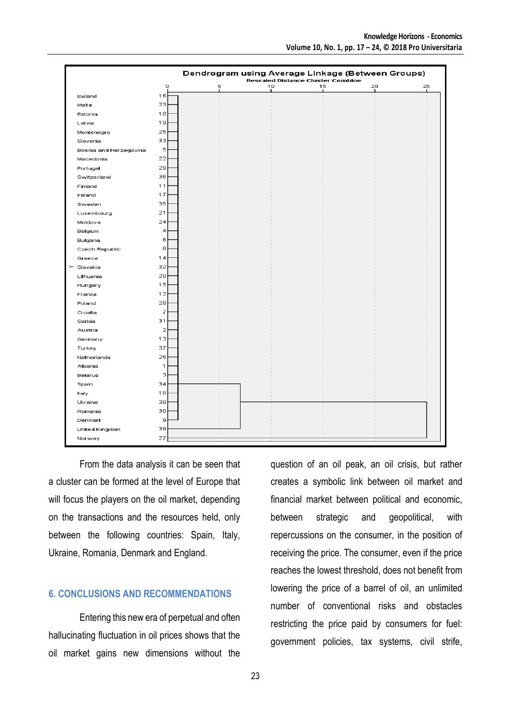|                        | Dendrogram using Average Linkage (Between Groups)<br><b>Rescaled Distance Cluster Combine</b> |   |    |    |         |         |  |
|------------------------|-----------------------------------------------------------------------------------------------|---|----|----|---------|---------|--|
|                        | o                                                                                             | 5 | 10 | 15 | 20<br>٠ | 25<br>٠ |  |
| Iceland                | 16                                                                                            |   |    |    |         |         |  |
| Malta                  | 23                                                                                            |   |    |    |         |         |  |
| Estonia                | 10                                                                                            |   |    |    |         |         |  |
| Latvia                 | 19                                                                                            |   |    |    |         |         |  |
| Montenegro             | 25                                                                                            |   |    |    |         |         |  |
| Slovenia               | 33                                                                                            |   |    |    |         |         |  |
| Bosnia and Herzegovina | 5                                                                                             |   |    |    |         |         |  |
| Macedonia              | 22                                                                                            |   |    |    |         |         |  |
| Portugal               | 29                                                                                            |   |    |    |         |         |  |
| Switzerland            | 36                                                                                            |   |    |    |         |         |  |
| Finland                | 11                                                                                            |   |    |    |         |         |  |
| Ireland                | 17                                                                                            |   |    |    |         |         |  |
| Sweden                 | 35                                                                                            |   |    |    |         |         |  |
| Luxembourg             | 21                                                                                            |   |    |    |         |         |  |
| Moldova                | 24                                                                                            |   |    |    |         |         |  |
| Belgium                | 4                                                                                             |   |    |    |         |         |  |
| Bulgaria               | 6                                                                                             |   |    |    |         |         |  |
| Czech Republic         | 8                                                                                             |   |    |    |         |         |  |
| Greece                 | 14                                                                                            |   |    |    |         |         |  |
| $\succ$ Slovakia       | 32                                                                                            |   |    |    |         |         |  |
| Lithuania              | 20                                                                                            |   |    |    |         |         |  |
| Hungary                | 15                                                                                            |   |    |    |         |         |  |
| France                 | 12                                                                                            |   |    |    |         |         |  |
| Poland                 | 28                                                                                            |   |    |    |         |         |  |
| Croatia                | 7                                                                                             |   |    |    |         |         |  |
| Serbia                 | 31                                                                                            |   |    |    |         |         |  |
| Austria                | $\overline{2}$                                                                                |   |    |    |         |         |  |
| Germany                | 13                                                                                            |   |    |    |         |         |  |
| Turkey                 | 37                                                                                            |   |    |    |         |         |  |
| Netherlands            | 26                                                                                            |   |    |    |         |         |  |
| Albania                | 1                                                                                             |   |    |    |         |         |  |
| Belarus                | 3                                                                                             |   |    |    |         |         |  |
| Spain                  | 34                                                                                            |   |    |    |         |         |  |
| Italy                  | 18                                                                                            |   |    |    |         |         |  |
| Ukraine                | 38                                                                                            |   |    |    |         |         |  |
| Romania                | 30                                                                                            |   |    |    |         |         |  |
| Denmark                | 9                                                                                             |   |    |    |         |         |  |
| United Kingdom         | 39                                                                                            |   |    |    |         |         |  |
| Norway                 | 27                                                                                            |   |    |    |         |         |  |

From the data analysis it can be seen that a cluster can be formed at the level of Europe that will focus the players on the oil market, depending on the transactions and the resources held, only between the following countries: Spain, Italy, Ukraine, Romania, Denmark and England.

### **6. CONCLUSIONS AND RECOMMENDATIONS**

Entering this new era of perpetual and often hallucinating fluctuation in oil prices shows that the oil market gains new dimensions without the

question of an oil peak, an oil crisis, but rather creates a symbolic link between oil market and financial market between political and economic, between strategic and geopolitical, with repercussions on the consumer, in the position of receiving the price. The consumer, even if the price reaches the lowest threshold, does not benefit from lowering the price of a barrel of oil, an unlimited number of conventional risks and obstacles restricting the price paid by consumers for fuel: government policies, tax systems, civil strife,